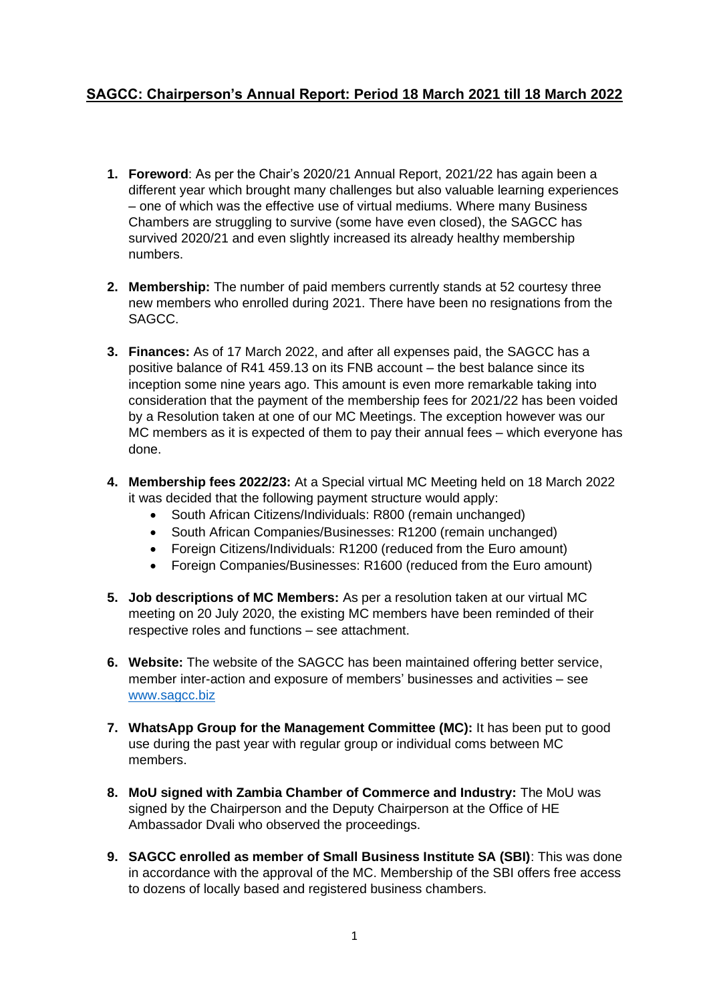# **SAGCC: Chairperson's Annual Report: Period 18 March 2021 till 18 March 2022**

- **1. Foreword**: As per the Chair's 2020/21 Annual Report, 2021/22 has again been a different year which brought many challenges but also valuable learning experiences – one of which was the effective use of virtual mediums. Where many Business Chambers are struggling to survive (some have even closed), the SAGCC has survived 2020/21 and even slightly increased its already healthy membership numbers.
- **2. Membership:** The number of paid members currently stands at 52 courtesy three new members who enrolled during 2021. There have been no resignations from the SAGCC.
- **3. Finances:** As of 17 March 2022, and after all expenses paid, the SAGCC has a positive balance of R41 459.13 on its FNB account – the best balance since its inception some nine years ago. This amount is even more remarkable taking into consideration that the payment of the membership fees for 2021/22 has been voided by a Resolution taken at one of our MC Meetings. The exception however was our MC members as it is expected of them to pay their annual fees – which everyone has done.
- **4. Membership fees 2022/23:** At a Special virtual MC Meeting held on 18 March 2022 it was decided that the following payment structure would apply:
	- South African Citizens/Individuals: R800 (remain unchanged)
	- South African Companies/Businesses: R1200 (remain unchanged)
	- Foreign Citizens/Individuals: R1200 (reduced from the Euro amount)
	- Foreign Companies/Businesses: R1600 (reduced from the Euro amount)
- **5. Job descriptions of MC Members:** As per a resolution taken at our virtual MC meeting on 20 July 2020, the existing MC members have been reminded of their respective roles and functions – see attachment.
- **6. Website:** The website of the SAGCC has been maintained offering better service, member inter-action and exposure of members' businesses and activities – see [www.sagcc.biz](http://www.sagcc.biz/)
- **7. WhatsApp Group for the Management Committee (MC):** It has been put to good use during the past year with regular group or individual coms between MC members.
- **8. MoU signed with Zambia Chamber of Commerce and Industry:** The MoU was signed by the Chairperson and the Deputy Chairperson at the Office of HE Ambassador Dvali who observed the proceedings.
- **9. SAGCC enrolled as member of Small Business Institute SA (SBI)**: This was done in accordance with the approval of the MC. Membership of the SBI offers free access to dozens of locally based and registered business chambers.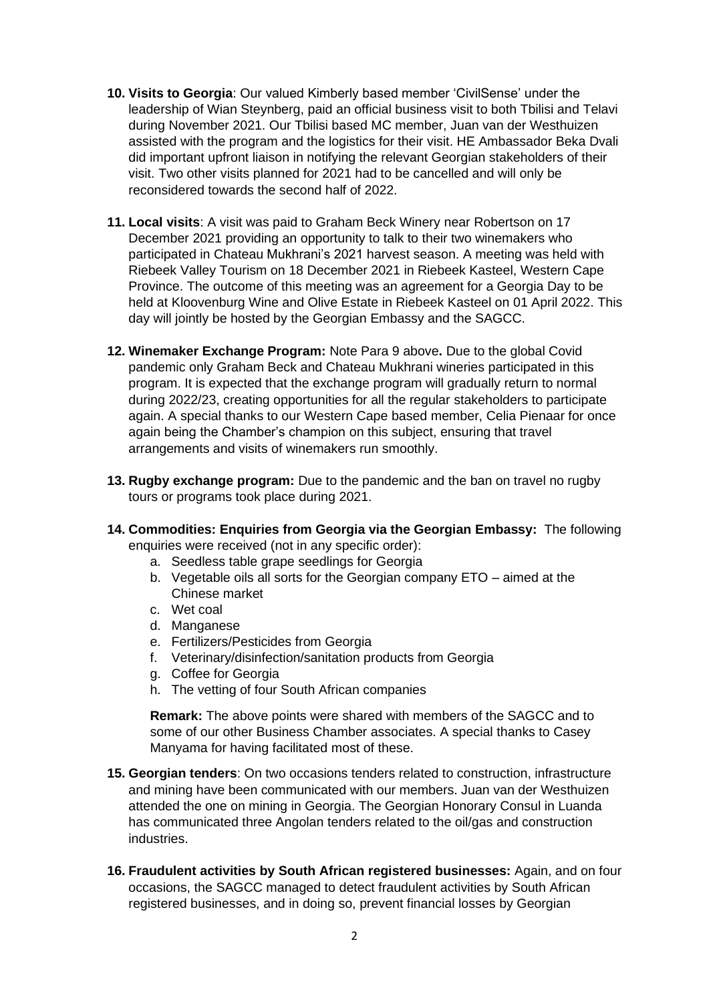- **10. Visits to Georgia**: Our valued Kimberly based member 'CivilSense' under the leadership of Wian Steynberg, paid an official business visit to both Tbilisi and Telavi during November 2021. Our Tbilisi based MC member, Juan van der Westhuizen assisted with the program and the logistics for their visit. HE Ambassador Beka Dvali did important upfront liaison in notifying the relevant Georgian stakeholders of their visit. Two other visits planned for 2021 had to be cancelled and will only be reconsidered towards the second half of 2022.
- **11. Local visits**: A visit was paid to Graham Beck Winery near Robertson on 17 December 2021 providing an opportunity to talk to their two winemakers who participated in Chateau Mukhrani's 2021 harvest season. A meeting was held with Riebeek Valley Tourism on 18 December 2021 in Riebeek Kasteel, Western Cape Province. The outcome of this meeting was an agreement for a Georgia Day to be held at Kloovenburg Wine and Olive Estate in Riebeek Kasteel on 01 April 2022. This day will jointly be hosted by the Georgian Embassy and the SAGCC.
- **12. Winemaker Exchange Program:** Note Para 9 above**.** Due to the global Covid pandemic only Graham Beck and Chateau Mukhrani wineries participated in this program. It is expected that the exchange program will gradually return to normal during 2022/23, creating opportunities for all the regular stakeholders to participate again. A special thanks to our Western Cape based member, Celia Pienaar for once again being the Chamber's champion on this subject, ensuring that travel arrangements and visits of winemakers run smoothly.
- **13. Rugby exchange program:** Due to the pandemic and the ban on travel no rugby tours or programs took place during 2021.
- **14. Commodities: Enquiries from Georgia via the Georgian Embassy:** The following enquiries were received (not in any specific order):
	- a. Seedless table grape seedlings for Georgia
	- b. Vegetable oils all sorts for the Georgian company ETO aimed at the Chinese market
	- c. Wet coal
	- d. Manganese
	- e. Fertilizers/Pesticides from Georgia
	- f. Veterinary/disinfection/sanitation products from Georgia
	- g. Coffee for Georgia
	- h. The vetting of four South African companies

**Remark:** The above points were shared with members of the SAGCC and to some of our other Business Chamber associates. A special thanks to Casey Manyama for having facilitated most of these.

- **15. Georgian tenders**: On two occasions tenders related to construction, infrastructure and mining have been communicated with our members. Juan van der Westhuizen attended the one on mining in Georgia. The Georgian Honorary Consul in Luanda has communicated three Angolan tenders related to the oil/gas and construction industries.
- **16. Fraudulent activities by South African registered businesses:** Again, and on four occasions, the SAGCC managed to detect fraudulent activities by South African registered businesses, and in doing so, prevent financial losses by Georgian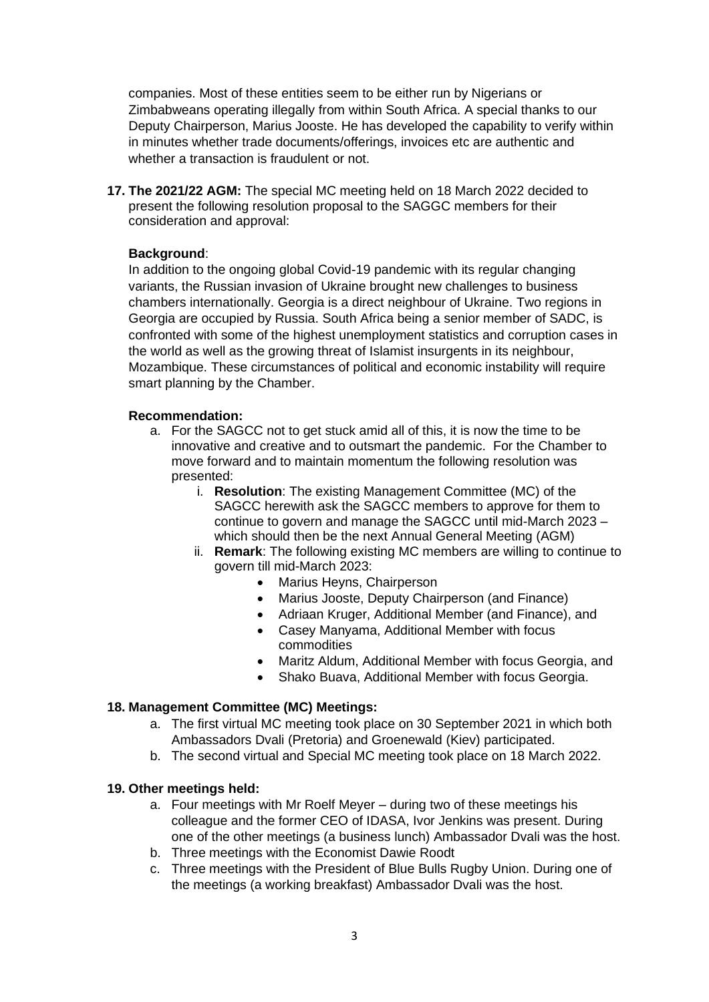companies. Most of these entities seem to be either run by Nigerians or Zimbabweans operating illegally from within South Africa. A special thanks to our Deputy Chairperson, Marius Jooste. He has developed the capability to verify within in minutes whether trade documents/offerings, invoices etc are authentic and whether a transaction is fraudulent or not.

**17. The 2021/22 AGM:** The special MC meeting held on 18 March 2022 decided to present the following resolution proposal to the SAGGC members for their consideration and approval:

# **Background**:

In addition to the ongoing global Covid-19 pandemic with its regular changing variants, the Russian invasion of Ukraine brought new challenges to business chambers internationally. Georgia is a direct neighbour of Ukraine. Two regions in Georgia are occupied by Russia. South Africa being a senior member of SADC, is confronted with some of the highest unemployment statistics and corruption cases in the world as well as the growing threat of Islamist insurgents in its neighbour, Mozambique. These circumstances of political and economic instability will require smart planning by the Chamber.

### **Recommendation:**

- a. For the SAGCC not to get stuck amid all of this, it is now the time to be innovative and creative and to outsmart the pandemic. For the Chamber to move forward and to maintain momentum the following resolution was presented:
	- i. **Resolution**: The existing Management Committee (MC) of the SAGCC herewith ask the SAGCC members to approve for them to continue to govern and manage the SAGCC until mid-March 2023 – which should then be the next Annual General Meeting (AGM)
	- ii. **Remark**: The following existing MC members are willing to continue to govern till mid-March 2023:
		- Marius Heyns, Chairperson
		- Marius Jooste, Deputy Chairperson (and Finance)
		- Adriaan Kruger, Additional Member (and Finance), and
		- Casey Manyama, Additional Member with focus commodities
		- Maritz Aldum, Additional Member with focus Georgia, and
		- Shako Buava, Additional Member with focus Georgia.

### **18. Management Committee (MC) Meetings:**

- a. The first virtual MC meeting took place on 30 September 2021 in which both Ambassadors Dvali (Pretoria) and Groenewald (Kiev) participated.
- b. The second virtual and Special MC meeting took place on 18 March 2022.

### **19. Other meetings held:**

- a. Four meetings with Mr Roelf Meyer during two of these meetings his colleague and the former CEO of IDASA, Ivor Jenkins was present. During one of the other meetings (a business lunch) Ambassador Dvali was the host.
- b. Three meetings with the Economist Dawie Roodt
- c. Three meetings with the President of Blue Bulls Rugby Union. During one of the meetings (a working breakfast) Ambassador Dvali was the host.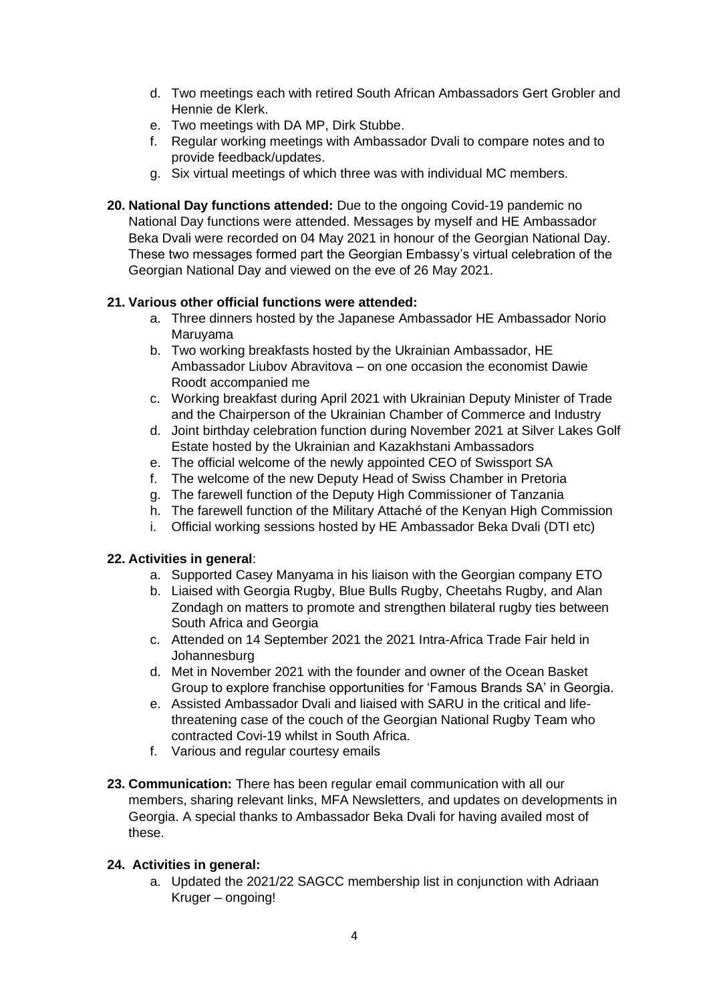- d. Two meetings each with retired South African Ambassadors Gert Grobler and Hennie de Klerk.
- e. Two meetings with DA MP, Dirk Stubbe.
- f. Regular working meetings with Ambassador Dvali to compare notes and to provide feedback/updates.
- g. Six virtual meetings of which three was with individual MC members.
- **20. National Day functions attended:** Due to the ongoing Covid-19 pandemic no National Day functions were attended. Messages by myself and HE Ambassador Beka Dvali were recorded on 04 May 2021 in honour of the Georgian National Day. These two messages formed part the Georgian Embassy's virtual celebration of the Georgian National Day and viewed on the eve of 26 May 2021.

# **21. Various other official functions were attended:**

- a. Three dinners hosted by the Japanese Ambassador HE Ambassador Norio Maruyama
- b. Two working breakfasts hosted by the Ukrainian Ambassador, HE Ambassador Liubov Abravitova – on one occasion the economist Dawie Roodt accompanied me
- c. Working breakfast during April 2021 with Ukrainian Deputy Minister of Trade and the Chairperson of the Ukrainian Chamber of Commerce and Industry
- d. Joint birthday celebration function during November 2021 at Silver Lakes Golf Estate hosted by the Ukrainian and Kazakhstani Ambassadors
- e. The official welcome of the newly appointed CEO of Swissport SA
- f. The welcome of the new Deputy Head of Swiss Chamber in Pretoria
- g. The farewell function of the Deputy High Commissioner of Tanzania
- h. The farewell function of the Military Attaché of the Kenyan High Commission
- i. Official working sessions hosted by HE Ambassador Beka Dvali (DTI etc)

### **22. Activities in general**:

- a. Supported Casey Manyama in his liaison with the Georgian company ETO
- b. Liaised with Georgia Rugby, Blue Bulls Rugby, Cheetahs Rugby, and Alan Zondagh on matters to promote and strengthen bilateral rugby ties between South Africa and Georgia
- c. Attended on 14 September 2021 the 2021 Intra-Africa Trade Fair held in Johannesburg
- d. Met in November 2021 with the founder and owner of the Ocean Basket Group to explore franchise opportunities for 'Famous Brands SA' in Georgia.
- e. Assisted Ambassador Dvali and liaised with SARU in the critical and lifethreatening case of the couch of the Georgian National Rugby Team who contracted Covi-19 whilst in South Africa.
- f. Various and regular courtesy emails
- **23. Communication:** There has been regular email communication with all our members, sharing relevant links, MFA Newsletters, and updates on developments in Georgia. A special thanks to Ambassador Beka Dvali for having availed most of these.

### **24. Activities in general:**

a. Updated the 2021/22 SAGCC membership list in conjunction with Adriaan Kruger – ongoing!